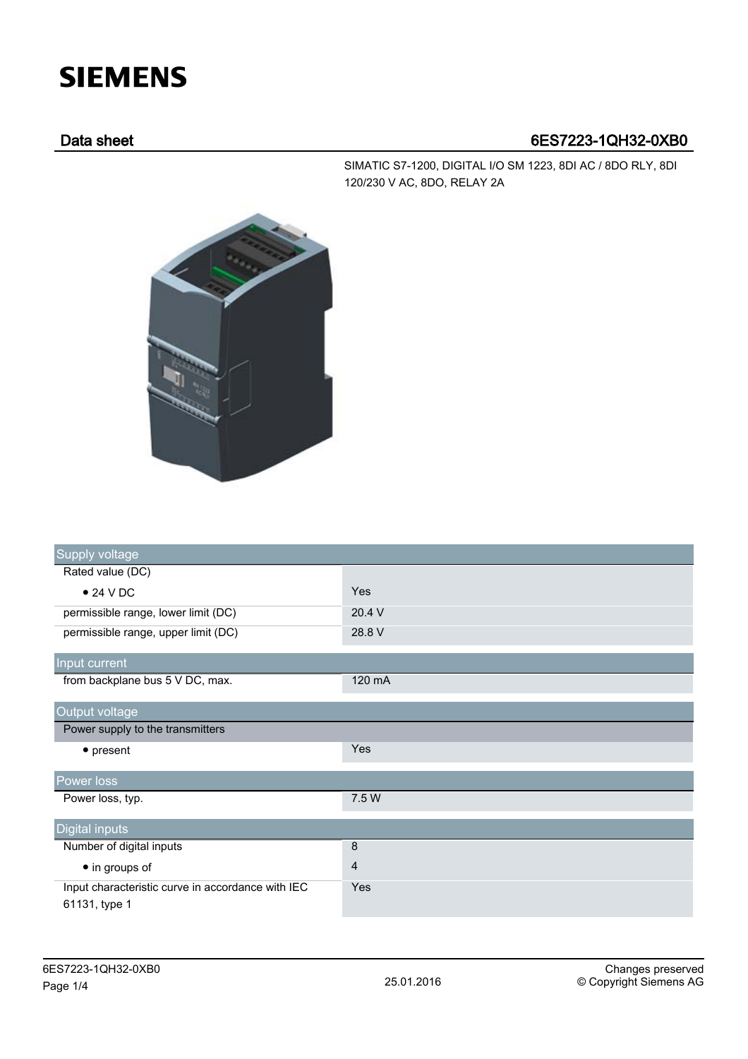## **SIEMENS**

## Data sheet 6ES7223-1QH32-0XB0

SIMATIC S7-1200, DIGITAL I/O SM 1223, 8DI AC / 8DO RLY, 8DI 120/230 V AC, 8DO, RELAY 2A



| Supply voltage                                                     |                |
|--------------------------------------------------------------------|----------------|
| Rated value (DC)                                                   |                |
| $\bullet$ 24 V DC                                                  | Yes            |
| permissible range, lower limit (DC)                                | 20.4 V         |
| permissible range, upper limit (DC)                                | 28.8 V         |
| Input current                                                      |                |
| from backplane bus 5 V DC, max.                                    | 120 mA         |
| Output voltage                                                     |                |
| Power supply to the transmitters                                   |                |
| $\bullet$ present                                                  | Yes            |
| Power loss                                                         |                |
| Power loss, typ.                                                   | 7.5 W          |
| Digital inputs                                                     |                |
| Number of digital inputs                                           | 8              |
| • in groups of                                                     | $\overline{4}$ |
| Input characteristic curve in accordance with IEC<br>61131, type 1 | Yes            |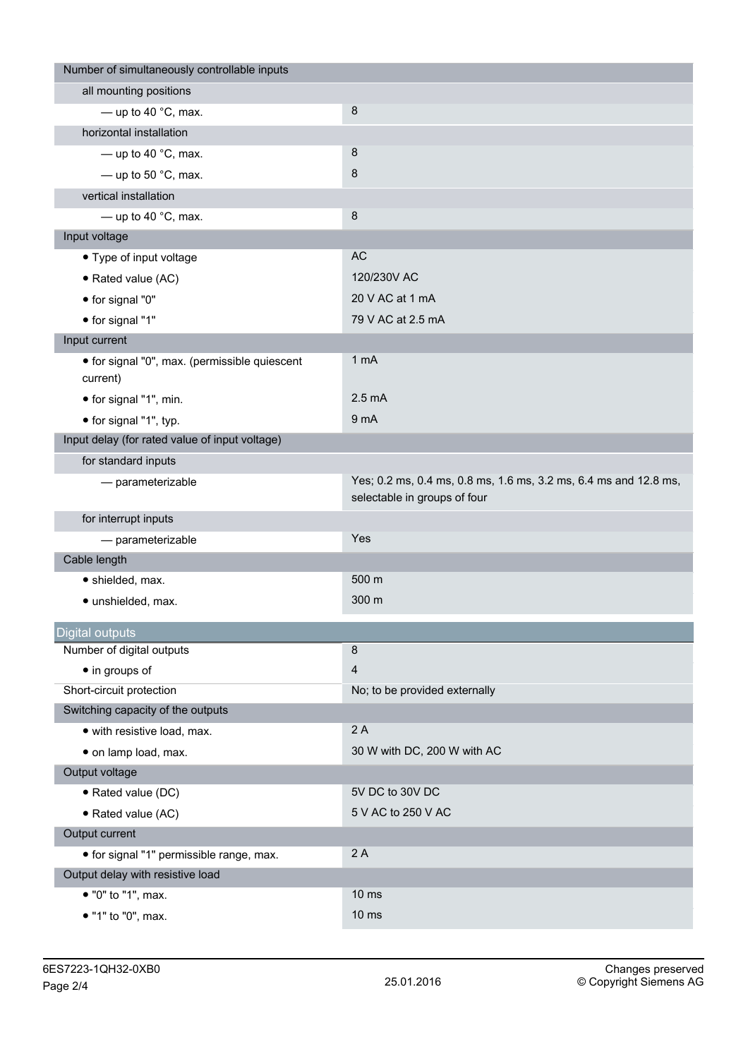| Number of simultaneously controllable inputs              |                                                                                                  |
|-----------------------------------------------------------|--------------------------------------------------------------------------------------------------|
| all mounting positions                                    |                                                                                                  |
| - up to 40 $^{\circ}$ C, max.                             | 8                                                                                                |
| horizontal installation                                   |                                                                                                  |
| - up to 40 $^{\circ}$ C, max.                             | 8                                                                                                |
| $-$ up to 50 °C, max.                                     | 8                                                                                                |
| vertical installation                                     |                                                                                                  |
| - up to 40 $^{\circ}$ C, max.                             | 8                                                                                                |
| Input voltage                                             |                                                                                                  |
| • Type of input voltage                                   | AC                                                                                               |
| • Rated value (AC)                                        | 120/230V AC                                                                                      |
| • for signal "0"                                          | 20 V AC at 1 mA                                                                                  |
| • for signal "1"                                          | 79 V AC at 2.5 mA                                                                                |
| Input current                                             |                                                                                                  |
| • for signal "0", max. (permissible quiescent<br>current) | 1 mA                                                                                             |
| • for signal "1", min.                                    | $2.5 \text{ mA}$                                                                                 |
| • for signal "1", typ.                                    | 9 mA                                                                                             |
| Input delay (for rated value of input voltage)            |                                                                                                  |
| for standard inputs                                       |                                                                                                  |
| - parameterizable                                         | Yes; 0.2 ms, 0.4 ms, 0.8 ms, 1.6 ms, 3.2 ms, 6.4 ms and 12.8 ms,<br>selectable in groups of four |
| for interrupt inputs                                      |                                                                                                  |
| - parameterizable                                         | Yes                                                                                              |
| Cable length                                              |                                                                                                  |
| • shielded, max.                                          | 500 m                                                                                            |
| · unshielded, max.                                        | 300 m                                                                                            |
| Digital outputs                                           |                                                                                                  |
| Number of digital outputs                                 | 8                                                                                                |
| • in groups of                                            | $\overline{4}$                                                                                   |
| Short-circuit protection                                  | No; to be provided externally                                                                    |
| Switching capacity of the outputs                         |                                                                                                  |
| · with resistive load, max.                               | 2A                                                                                               |
| · on lamp load, max.                                      | 30 W with DC, 200 W with AC                                                                      |
| Output voltage                                            |                                                                                                  |
| • Rated value (DC)                                        | 5V DC to 30V DC                                                                                  |
| • Rated value (AC)                                        | 5 V AC to 250 V AC                                                                               |
| Output current                                            |                                                                                                  |
| • for signal "1" permissible range, max.                  | 2A                                                                                               |
| Output delay with resistive load                          |                                                                                                  |
| • "0" to "1", max.                                        | 10 <sub>ms</sub>                                                                                 |
| • "1" to "0", max.                                        | $10 \text{ ms}$                                                                                  |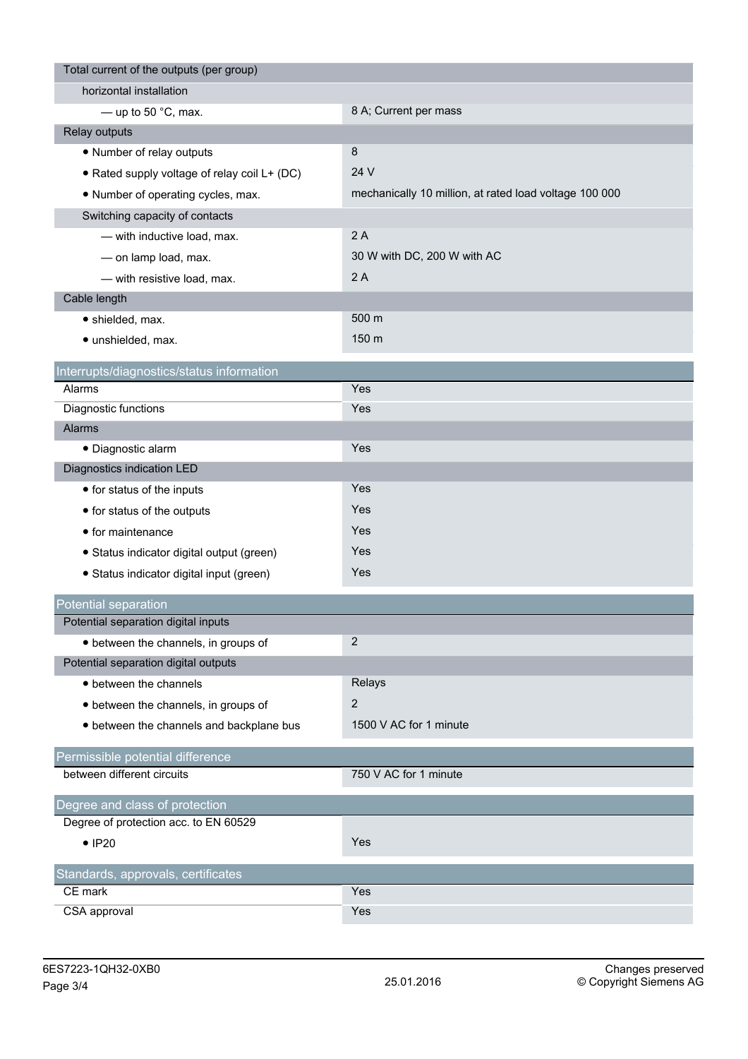| Total current of the outputs (per group)                                |                                                        |
|-------------------------------------------------------------------------|--------------------------------------------------------|
| horizontal installation                                                 |                                                        |
| — up to 50 $^{\circ}$ C, max.                                           | 8 A; Current per mass                                  |
| Relay outputs                                                           |                                                        |
| • Number of relay outputs                                               | 8                                                      |
| • Rated supply voltage of relay coil L+ (DC)                            | 24 V                                                   |
| • Number of operating cycles, max.                                      | mechanically 10 million, at rated load voltage 100 000 |
| Switching capacity of contacts                                          |                                                        |
| - with inductive load, max.                                             | 2A                                                     |
| - on lamp load, max.                                                    | 30 W with DC, 200 W with AC                            |
| - with resistive load, max.                                             | 2A                                                     |
| Cable length                                                            |                                                        |
| • shielded, max.                                                        | 500 m                                                  |
| · unshielded, max.                                                      | 150 m                                                  |
|                                                                         |                                                        |
| Interrupts/diagnostics/status information<br>Alarms                     | Yes                                                    |
| Diagnostic functions                                                    | Yes                                                    |
| Alarms                                                                  |                                                        |
| · Diagnostic alarm                                                      | Yes                                                    |
| Diagnostics indication LED                                              |                                                        |
| • for status of the inputs                                              | Yes                                                    |
| • for status of the outputs                                             | Yes                                                    |
| • for maintenance                                                       | Yes                                                    |
| · Status indicator digital output (green)                               | Yes                                                    |
| • Status indicator digital input (green)                                | Yes                                                    |
|                                                                         |                                                        |
| Potential separation                                                    |                                                        |
| Potential separation digital inputs                                     |                                                        |
| • between the channels, in groups of                                    | $\overline{2}$                                         |
| Potential separation digital outputs                                    |                                                        |
| • between the channels                                                  | Relays                                                 |
| • between the channels, in groups of                                    | $\overline{2}$                                         |
| • between the channels and backplane bus                                | 1500 V AC for 1 minute                                 |
| Permissible potential difference                                        |                                                        |
| between different circuits                                              | 750 V AC for 1 minute                                  |
|                                                                         |                                                        |
| Degree and class of protection<br>Degree of protection acc. to EN 60529 |                                                        |
| $\bullet$ IP20                                                          | Yes                                                    |
|                                                                         |                                                        |
| Standards, approvals, certificates                                      |                                                        |
| CE mark                                                                 | Yes                                                    |
| CSA approval                                                            | Yes                                                    |